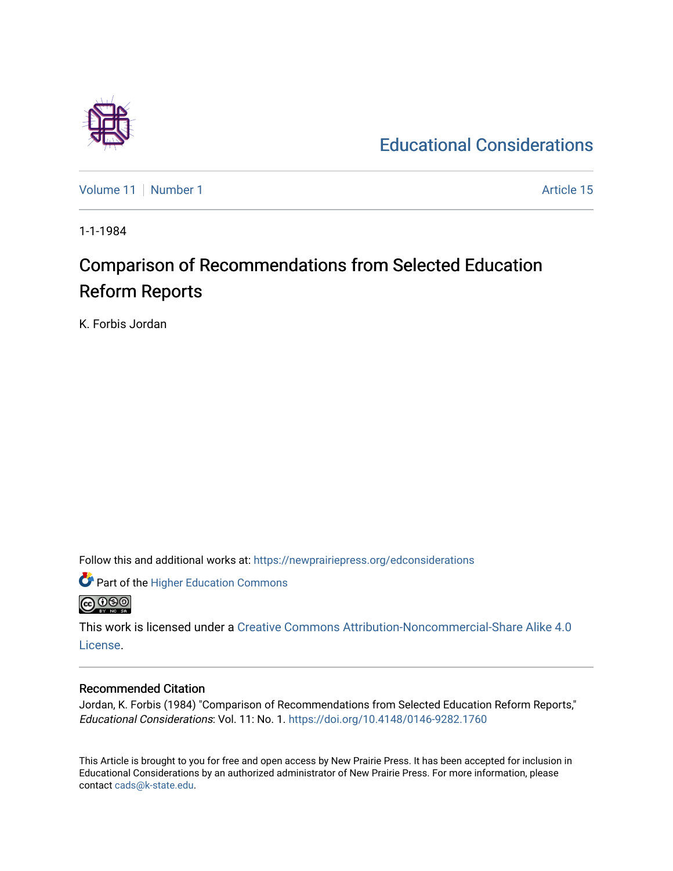

[Educational Considerations](https://newprairiepress.org/edconsiderations) 

[Volume 11](https://newprairiepress.org/edconsiderations/vol11) [Number 1](https://newprairiepress.org/edconsiderations/vol11/iss1) Article 15

1-1-1984

# Comparison of Recommendations from Selected Education Reform Reports

K. Forbis Jordan

Follow this and additional works at: [https://newprairiepress.org/edconsiderations](https://newprairiepress.org/edconsiderations?utm_source=newprairiepress.org%2Fedconsiderations%2Fvol11%2Fiss1%2F15&utm_medium=PDF&utm_campaign=PDFCoverPages) 

Part of the [Higher Education Commons](http://network.bepress.com/hgg/discipline/1245?utm_source=newprairiepress.org%2Fedconsiderations%2Fvol11%2Fiss1%2F15&utm_medium=PDF&utm_campaign=PDFCoverPages)  **@@@** 

This work is licensed under a [Creative Commons Attribution-Noncommercial-Share Alike 4.0](https://creativecommons.org/licenses/by-nc-sa/4.0/) [License.](https://creativecommons.org/licenses/by-nc-sa/4.0/)

#### Recommended Citation

Jordan, K. Forbis (1984) "Comparison of Recommendations from Selected Education Reform Reports," Educational Considerations: Vol. 11: No. 1. <https://doi.org/10.4148/0146-9282.1760>

This Article is brought to you for free and open access by New Prairie Press. It has been accepted for inclusion in Educational Considerations by an authorized administrator of New Prairie Press. For more information, please contact [cads@k-state.edu](mailto:cads@k-state.edu).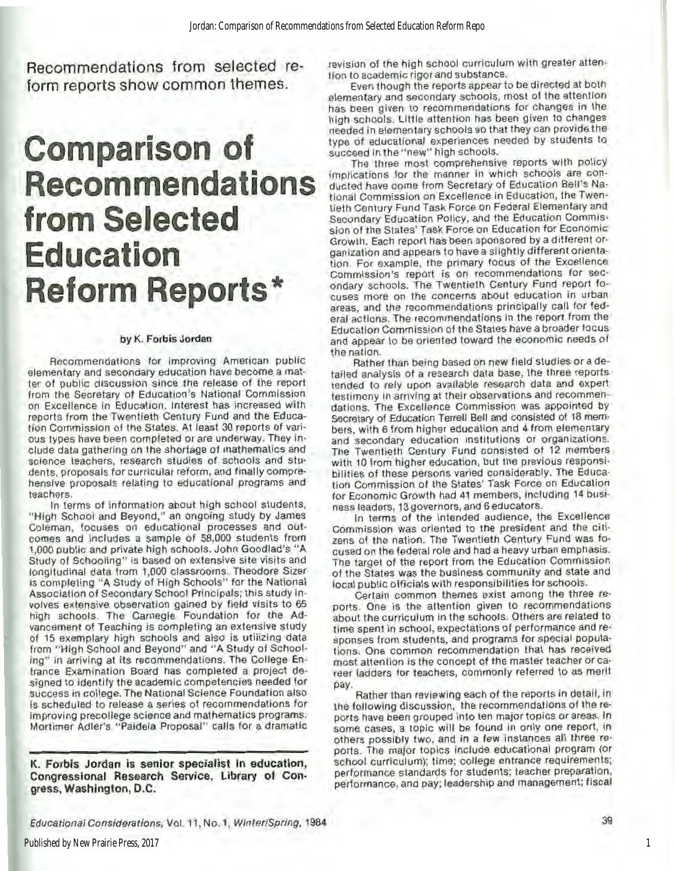Recommendations from selected reform reports show common themes.

# **Comparison of Recommendations from Selected Education Reform Reports\***

#### by K. Forbis Jordan

Recommendations for improving American public elementary and secondary education have become a mat· ter of public discussion since the release of the report from the Secretary of Education's National Commission on Excellence In Education. Interest has increased with reports from the Twentieth Century Fund and the Educa· tion Commission ol the States. At least 30 reports of various types have been completed or are underway. They in· elude data gathering on the shortage of mathematics and science teachers, research studies of schools and students, proposals for curricular reform, and finally comprehensive proposals relating to educational programs and teachers.

In terms of information about high school students. "High School and Beyond," an ongoing study by James Coleman, focuses on educational processes and outcomes and Includes a sample of 58,000 students from 1,000 public and private high schools. John Goodlad's '"A Study of Schooling'" is based on extensive site visits and longitudinal data from 1,000 classrooms. Theodore Sizer is completing "A Study of High Schools" for the National Association of Secondary School Principals; this study involves extensive observation gained by field visits to 65 high schools. The Carnegie Foundation for the Ad· vancement of Teaching is completing an extensive study of 15 exemplary high schools and also is utilizing data from "High School and Beyond" and "A Study of Schooling" In arriving at Its recommendations. The College En· trance Examination Board has completed a project de· signed to identify the academic competencies needed for success in college. The National Science Foundation also Is scheduled to release a series of recommendations for Improving precollege science and mathematics programs. Mortimer Adler's "Paldeia Proposal" calls for a dramatic

K. Forbis Jordan is senior specialist in education, Congressional Research Service, Library of Congress, Washington, D.C.

revision of the high school curriculum with greater attention to academic rigor and substance.

Even though the reports appear to be directed at both elementary and secondary schools, most of the attention has been given to recommendations for changes in the high schools. Little attention has been given to changes needed in elementary schools so that they can provide the type of educational experiences needed by students to succeed in the "new" high schools.

The three most comprehensive reports with policy implications for the manner in which schools are conducted have come from Secretary of Education Bell's National Commission on Excellence In Education, the Twentieth Century Fund Task Force on Federal Elementary and secondary Education Policy, and the Education Commis· slon of the States' Task Force on Education for Economic Growth. Each report has been sponsored by a different organization and appears to have a slightly different orientation. For example, the primary focus of the Excellence<br>Commission's report is on recommendations for secondary schools. The Twentieth Century Fund report focuses more on the concerns about education in urban areas, and the recommendations principally call for federal actions. The recommendations In the report from the Education Commission of the States have a broader focus and appear to be oriented toward the economic needs ol

the nation. Rather lhan being based on new field studies or a detailed analysis of a research data base, the three reports tended to rely upon available research data and expert testimony in arriving at their observations and recommendations. The Excellence Commission was appointed by Secretary of Education Terrell Bell and consisted of 18 mem· bers, with 6 from higher education and 4 from elementary and secondary education institutions or organizations. The Twentieth Century Fund consisted of 12 members with 10 from higher education, but the previous responsibilities of these persons varied considerably. The Education Commission of the States' Task Force on Education for Economic Growth had 41 members, including 14 busi-<br>ness leaders, 13 governors, and 6 educators.

In terms of the intended audience, the Excellence Commission was oriented to the president and the citi· zens of the nation. The Twentieth Century Fund was focused on the federal role and had a heavy urban emphasis. The target of the report from the Education Commission of the States was the business community and state and focal public officials with responsibilities for schools.

Certain common themes exist among the three reports. One is the attention given to recommendations about the curriculum in the schools. Others are related to time spent in school, expectations of performance and responses from students, and programs for special populations. One common recommendation that has received most attention is the concept of the master teacher or career ladders for teachers, commonly referred to as merit

pay.<br>. Rather than reviewing each of the reports in detail, in<br>the following discussion, the recommendations of the reports have been grouped Into ten major topics or areas. In some cases, a topic will be found in only one report, in others possibly two, and In a few instances all three re· ports. The major topics include educational program (or school curriculum); time; college entrance requirements; performance standards for students; teacher preparation, performance, and pay; leadership and management; fiscal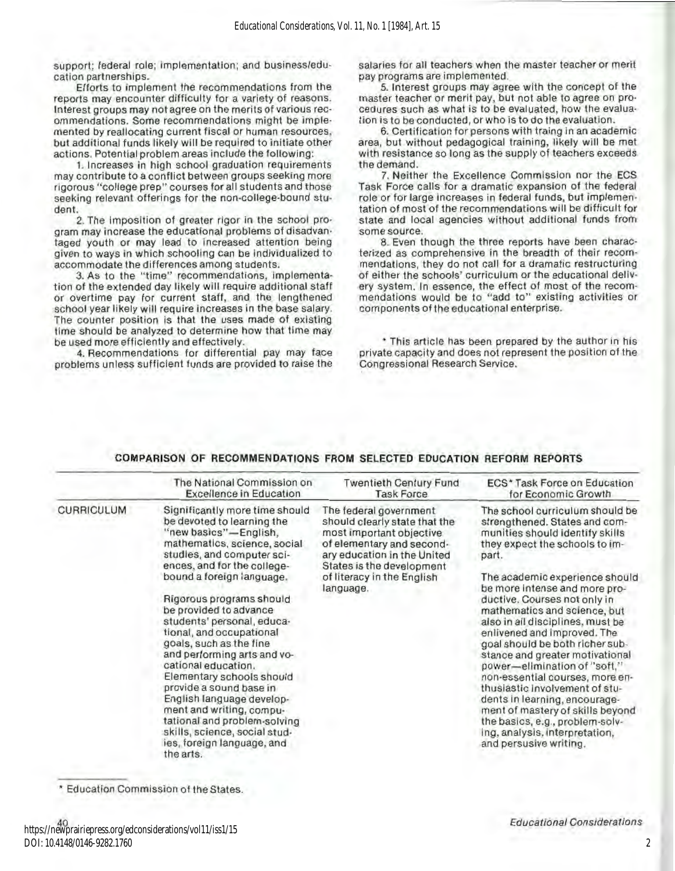support; federal role; implementation; and business/education partnerships.

Efforts to implement the recommendations from the reports may encounter difficulty for a variety of reasons. Interest groups may not agree on the merits of various rec· ommendations. Some recommendations might be implemented by reallocating current fiscal or human resources, but additional funds likely will be required to initiate other actions. Potential problem areas include the following:

1. Increases in high school graduation requirements may contribute to a conflict between groups seeking more rigorous "college prep" courses for all students and those seeking relevant offerings for the non-college-bound student.

2. The Imposition of greater rigor In the school pro· gram may increase the educational problems of disadvantaged youth or may lead to increased attention being given to ways in which schooling can be Individualized to accommodate the differences among students.

3. As to the "time" recommendations, implemenla· tion of the extended day likely will require additional staff or overtime pay for current staff, and the lengthened school year likely will require increases in the base salary. The counter position is that the uses made of existing time should be analyzed to determine how that time may be used more efficiently and effectively.

4. Recommendations for differential pay may face problems unless sufficient funds are provided to raise the salaries for all teachers when the master teacher or merit pay programs are implemented.

5. Interest groups may agree with the concepl of the master teacher or merit pay, but not able to agree on pro· cedures such as what is to be evaluated, how the evaluation is to be conducted, or who is to do the evaluation.

6. Cenification for persons with traing In an academic area, but without pedagogical training, likely will be met with resistance so long as the supply of teachers exceeds the demand.

7. Neither the Excellence Commission nor the ECS Task Force calls for a dramatic expansion of the federal role or for large increases in federal funds, but implementation of most of the recommendations will be difficult for state and local agencies without additional funds from<br>some source.

8. Even though the three reports have been characterized as comprehensive in the breadth of their recom· mendatlons, they do not call for a dramatic restructuring of either the schools' curriculum or the educational dellv· ery system. In essence, the effect of most of the recommendations would be to "add to" existing activities or components of the educational enterprise.

\* This article has been prepared by the author in his private capacity and does not represent the position of the Congressional Research Service.

#### COMPARISON OF RECOMMENDATIONS FROM SELECTED EDUCATION REFORM REPORTS

|                   | The National Commission on                                                                                                                                                                                                                                                                                                                                                                                                                                                                                                                                                                                                                    | <b>Twentieth Century Fund</b>                                                                                                                                                                                           | ECS* Task Force on Education                                                                                                                                                                                                                                                                                                                                                                                                                                                                                                                                                                                                                                                                        |
|-------------------|-----------------------------------------------------------------------------------------------------------------------------------------------------------------------------------------------------------------------------------------------------------------------------------------------------------------------------------------------------------------------------------------------------------------------------------------------------------------------------------------------------------------------------------------------------------------------------------------------------------------------------------------------|-------------------------------------------------------------------------------------------------------------------------------------------------------------------------------------------------------------------------|-----------------------------------------------------------------------------------------------------------------------------------------------------------------------------------------------------------------------------------------------------------------------------------------------------------------------------------------------------------------------------------------------------------------------------------------------------------------------------------------------------------------------------------------------------------------------------------------------------------------------------------------------------------------------------------------------------|
|                   | <b>Excellence in Education</b>                                                                                                                                                                                                                                                                                                                                                                                                                                                                                                                                                                                                                | <b>Task Force</b>                                                                                                                                                                                                       | for Economic Growth                                                                                                                                                                                                                                                                                                                                                                                                                                                                                                                                                                                                                                                                                 |
| <b>CURRICULUM</b> | Significantly more time should<br>be devoted to learning the<br>"new basics"-English,<br>mathematics, science, social<br>studies, and computer sci-<br>ences, and for the college-<br>bound a foreign language.<br>Rigorous programs should<br>be provided to advance<br>students' personal, educa-<br>tional, and occupational<br>goals, such as the fine<br>and performing arts and vo-<br>cational education.<br>Elementary schools should<br>provide a sound base in<br>English language develop-<br>ment and writing, compu-<br>tational and problem-solving<br>skills, science, social stud-<br>ies, foreign language, and<br>the arts. | The federal government<br>should clearly state that the<br>most important objective<br>of elementary and second-<br>ary education in the United<br>States is the development<br>of literacy in the English<br>language. | The school curriculum should be<br>strengthened. States and com-<br>munities should identify skills<br>they expect the schools to im-<br>part.<br>The academic experience should<br>be more intense and more pro-<br>ductive. Courses not only in<br>mathematics and science, but<br>also in all disciplines, must be<br>enlivened and improved. The<br>goal should be both richer sub-<br>stance and greater motivational<br>power-elimination of "soft,"<br>non-essential courses, more en-<br>thusiastic involvement of stu-<br>dents in learning, encourage-<br>ment of mastery of skills beyond<br>the basics, e.g., problem-solv-<br>ing, analysis, interpretation,<br>and persusive writing. |

• Education Commission of the States.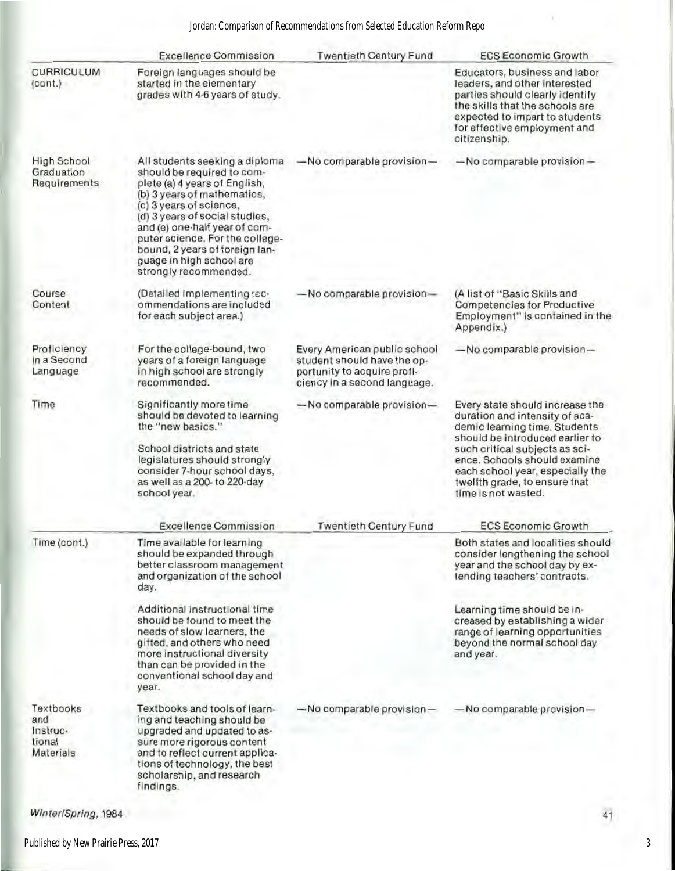|                                                     | <b>Excellence Commission</b>                                                                                                                                                                                                                                                                                                                         | <b>Twentieth Century Fund</b>                                                                                              | <b>ECS Economic Growth</b>                                                                                                                                                                                                                                                                          |
|-----------------------------------------------------|------------------------------------------------------------------------------------------------------------------------------------------------------------------------------------------------------------------------------------------------------------------------------------------------------------------------------------------------------|----------------------------------------------------------------------------------------------------------------------------|-----------------------------------------------------------------------------------------------------------------------------------------------------------------------------------------------------------------------------------------------------------------------------------------------------|
| CURRICULUM<br>(cont.)                               | Foreign languages should be<br>started in the elementary<br>grades with 4-6 years of study.                                                                                                                                                                                                                                                          |                                                                                                                            | Educators, business and labor<br>leaders, and other interested<br>parties should clearly identify<br>the skills that the schools are<br>expected to impart to students<br>for effective employment and<br>citizenship.                                                                              |
| High School<br>Graduation<br>Requirements           | All students seeking a diploma<br>should be required to com-<br>plete (a) 4 years of English,<br>(b) 3 years of mathematics,<br>(c) 3 years of science,<br>(d) 3 years of social studies,<br>and (e) one-half year of com-<br>puter science. For the college-<br>bound, 2 years of foreign lan-<br>guage in high school are<br>strongly recommended. | $-$ No comparable provision $-$                                                                                            | $-$ No comparable provision $-$                                                                                                                                                                                                                                                                     |
| Course<br>Content                                   | (Detailed implementing rec-<br>ommendations are included<br>for each subject area.)                                                                                                                                                                                                                                                                  | -No comparable provision-                                                                                                  | (A list of "Basic Skills and<br>Competencies for Productive<br>Employment" is contained in the<br>Appendix.)                                                                                                                                                                                        |
| Proficiency<br>in a Second<br>Language              | For the college-bound, two<br>years of a foreign language<br>in high school are strongly<br>recommended.                                                                                                                                                                                                                                             | Every American public school<br>student should have the op-<br>portunity to acquire profi-<br>ciency in a second language. | -No comparable provision-                                                                                                                                                                                                                                                                           |
| Time                                                | Significantly more time<br>should be devoted to learning<br>the "new basics."<br>School districts and state<br>legislatures should strongly<br>consider 7-hour school days,<br>as well as a 200- to 220-day<br>school year.                                                                                                                          | -No comparable provision-                                                                                                  | Every state should increase the<br>duration and intensity of aca-<br>demic learning time. Students<br>should be introduced earlier to<br>such critical subjects as sci-<br>ence. Schools should examine<br>each school year, especially the<br>twelfth grade, to ensure that<br>time is not wasted. |
|                                                     | <b>Excellence Commission</b>                                                                                                                                                                                                                                                                                                                         | <b>Twentieth Century Fund</b>                                                                                              | <b>ECS Economic Growth</b>                                                                                                                                                                                                                                                                          |
| Time (cont.)                                        | Time available for learning<br>should be expanded through<br>better classroom management<br>and organization of the school<br>day.                                                                                                                                                                                                                   |                                                                                                                            | Both states and localities should<br>consider lengthening the school<br>year and the school day by ex-<br>tending teachers' contracts.                                                                                                                                                              |
|                                                     | Additional instructional time<br>should be found to meet the<br>needs of slow learners, the<br>gifted, and others who need<br>more instructional diversity<br>than can be provided in the<br>conventional school day and<br>year.                                                                                                                    |                                                                                                                            | Learning time should be in-<br>creased by establishing a wider<br>range of learning opportunities<br>beyond the normal school day<br>and year.                                                                                                                                                      |
| Textbooks<br>and<br>Instruc-<br>tional<br>Materials | Textbooks and tools of learn-<br>ing and teaching should be<br>upgraded and updated to as-<br>sure more rigorous content<br>and to reflect current applica-<br>tions of technology, the best<br>scholarship, and research<br>findings.                                                                                                               | -No comparable provision-                                                                                                  | -No comparable provision-                                                                                                                                                                                                                                                                           |

Winter/Spring, 1984

3

4t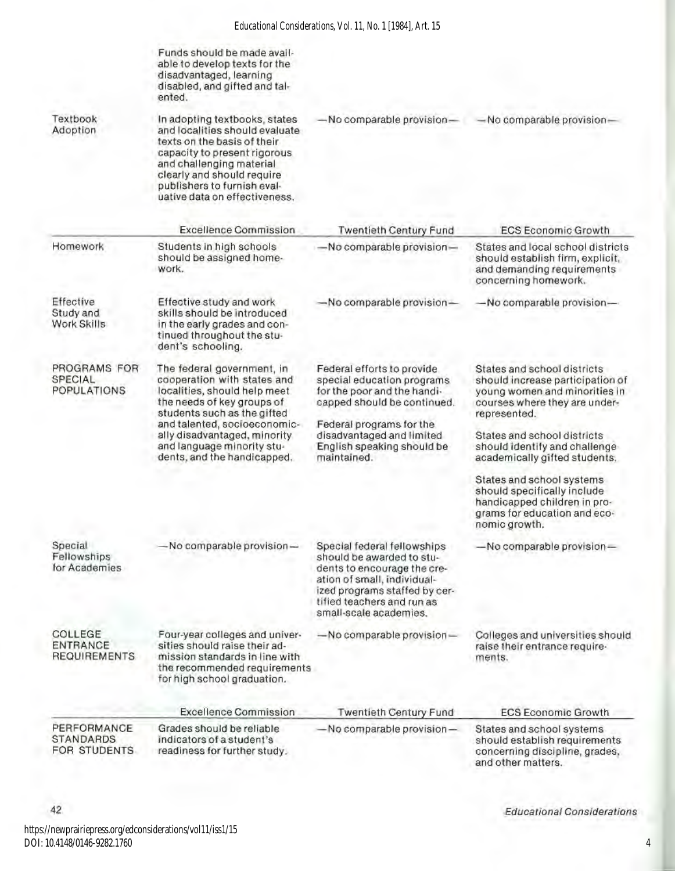|                                                   | Funds should be made avail-<br>able to develop texts for the<br>disadvantaged, learning<br>disabled, and gifted and tal-<br>ented.                                                                                                                                                  |                                                                                                                                                                                                                              |                                                                                                                                                                                                                                                    |
|---------------------------------------------------|-------------------------------------------------------------------------------------------------------------------------------------------------------------------------------------------------------------------------------------------------------------------------------------|------------------------------------------------------------------------------------------------------------------------------------------------------------------------------------------------------------------------------|----------------------------------------------------------------------------------------------------------------------------------------------------------------------------------------------------------------------------------------------------|
| Textbook<br>Adoption                              | In adopting textbooks, states<br>and localities should evaluate<br>texts on the basis of their<br>capacity to present rigorous<br>and challenging material<br>clearly and should require<br>publishers to furnish eval-<br>uative data on effectiveness.                            | -No comparable provision-                                                                                                                                                                                                    | -No comparable provision-                                                                                                                                                                                                                          |
|                                                   | <b>Excellence Commission</b>                                                                                                                                                                                                                                                        | <b>Twentieth Century Fund</b>                                                                                                                                                                                                | <b>ECS Economic Growth</b>                                                                                                                                                                                                                         |
| Homework                                          | Students in high schools<br>should be assigned home-<br>work.                                                                                                                                                                                                                       | -No comparable provision-                                                                                                                                                                                                    | States and local school districts<br>should establish firm, explicit,<br>and demanding requirements<br>concerning homework.                                                                                                                        |
| Effective<br>Study and<br>Work Skills             | Effective study and work<br>skills should be introduced<br>in the early grades and con-<br>tinued throughout the stu-<br>dent's schooling.                                                                                                                                          | -No comparable provision-                                                                                                                                                                                                    | No comparable provision-                                                                                                                                                                                                                           |
| PROGRAMS FOR<br>SPECIAL<br><b>POPULATIONS</b>     | The federal government, in<br>cooperation with states and<br>localities, should help meet<br>the needs of key groups of<br>students such as the gifted<br>and talented, socioeconomic-<br>ally disadvantaged, minority<br>and language minority stu-<br>dents, and the handicapped. | Federal efforts to provide<br>special education programs<br>for the poor and the handi-<br>capped should be continued.<br>Federal programs for the<br>disadvantaged and limited<br>English speaking should be<br>maintained. | States and school districts<br>should increase participation of<br>young women and minorities in<br>courses where they are under-<br>represented.<br>States and school districts<br>should identify and challenge<br>academically gifted students. |
|                                                   |                                                                                                                                                                                                                                                                                     |                                                                                                                                                                                                                              | States and school systems<br>should specifically include<br>handicapped children in pro-<br>grams for education and eco-<br>nomic growth.                                                                                                          |
| Special<br>Fellowships<br>for Academies           | $-$ No comparable provision $-$                                                                                                                                                                                                                                                     | Special federal fellowships<br>should be awarded to stu-<br>dents to encourage the cre-<br>ation of small, individual-<br>ized programs staffed by cer-<br>tified teachers and run as<br>small-scale academies.              | -No comparable provision-                                                                                                                                                                                                                          |
| COLLEGE<br><b>ENTRANCE</b><br><b>REQUIREMENTS</b> | Four-year colleges and univer-<br>sities should raise their ad-<br>mission standards in line with<br>the recommended requirements<br>for high school graduation.                                                                                                                    | $-$ No comparable provision $-$                                                                                                                                                                                              | Colleges and universities should<br>raise their entrance require-<br>ments.                                                                                                                                                                        |
|                                                   | <b>Excellence Commission</b>                                                                                                                                                                                                                                                        | Twentieth Century Fund                                                                                                                                                                                                       | <b>ECS Economic Growth</b>                                                                                                                                                                                                                         |
| PERFORMANCE<br><b>STANDARDS</b><br>FOR STUDENTS   | Grades should be reliable<br>indicators of a student's<br>readiness for further study.                                                                                                                                                                                              | $-$ No comparable provision $-$                                                                                                                                                                                              | States and school systems<br>should establish requirements<br>concerning discipline, grades,<br>and other matters.                                                                                                                                 |

DOI: 10.4148/0146-9282.1760

Educational Considerations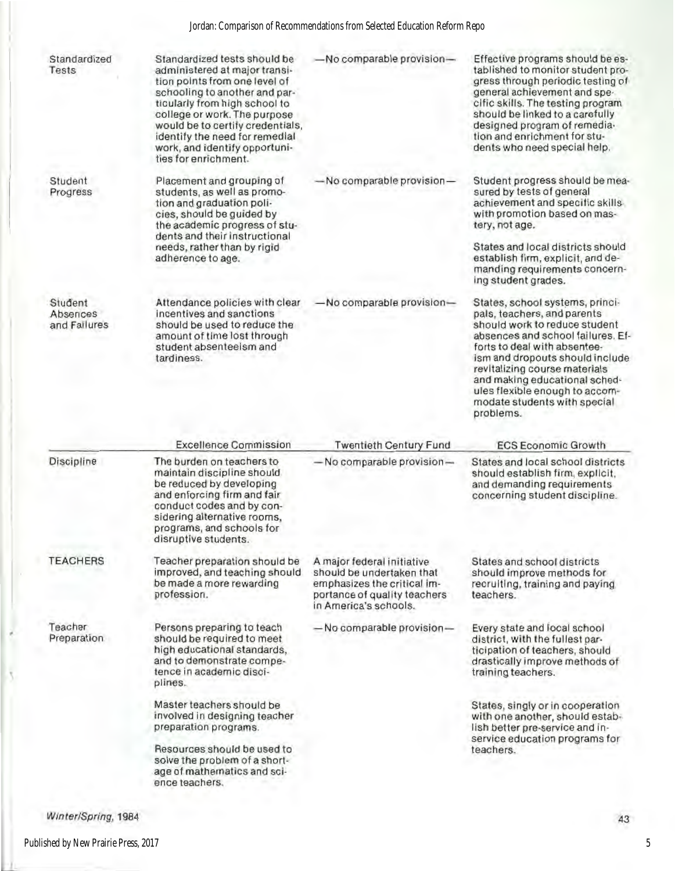## Jordan: Comparison of Recommendations from Selected Education Reform Repo

| Standardized<br>Tests               | Standardized tests should be<br>administered at major transi-<br>tion points from one level of<br>schooling to another and par-<br>ticularly from high school to<br>college or work. The purpose<br>would be to certify credentials,<br>identify the need for remedial<br>work, and identify opportuni-<br>ties for enrichment. | -No comparable provision-                                                                                                                       | Effective programs should be es-<br>tablished to monitor student pro-<br>gress through periodic testing of<br>general achievement and spe-<br>cific skills. The testing program<br>should be linked to a carefully<br>designed program of remedia-<br>tion and enrichment for stu-<br>dents who need special help.                                       |
|-------------------------------------|---------------------------------------------------------------------------------------------------------------------------------------------------------------------------------------------------------------------------------------------------------------------------------------------------------------------------------|-------------------------------------------------------------------------------------------------------------------------------------------------|----------------------------------------------------------------------------------------------------------------------------------------------------------------------------------------------------------------------------------------------------------------------------------------------------------------------------------------------------------|
| Student<br>Progress                 | Placement and grouping of<br>students, as well as promo-<br>tion and graduation poli-<br>cies, should be guided by<br>the academic progress of stu-<br>dents and their instructional<br>needs, rather than by rigid<br>adherence to age.                                                                                        | $-$ No comparable provision $-$                                                                                                                 | Student progress should be mea-<br>sured by tests of general<br>achievement and specific skills<br>with promotion based on mas-<br>tery, not age.<br>States and local districts should<br>establish firm, explicit, and de-<br>manding requirements concern-<br>ing student grades.                                                                      |
| Student<br>Absences<br>and Failures | Attendance policies with clear<br>incentives and sanctions<br>should be used to reduce the<br>amount of time lost through<br>student absenteelsm and<br>tardiness.                                                                                                                                                              | -No comparable provision-                                                                                                                       | States, school systems, princi-<br>pals, teachers, and parents<br>should work to reduce student<br>absences and school failures. Ef-<br>forts to deal with absentee-<br>ism and dropouts should include<br>revitalizing course materials<br>and making educational sched-<br>ules flexible enough to accom-<br>modate students with special<br>problems. |
|                                     | <b>Excellence Commission</b>                                                                                                                                                                                                                                                                                                    | <b>Twentieth Century Fund</b>                                                                                                                   | <b>ECS Economic Growth</b>                                                                                                                                                                                                                                                                                                                               |
| Discipline                          | The burden on teachers to<br>maintain discipline should.<br>be reduced by developing<br>and enforcing firm and fair<br>conduct codes and by con-<br>sidering alternative rooms,<br>programs, and schools for<br>disruptive students.                                                                                            | $-$ No comparable provision $-$                                                                                                                 | States and local school districts<br>should establish firm, explicit,<br>and demanding requirements<br>concerning student discipline.                                                                                                                                                                                                                    |
| <b>TEACHERS</b>                     | Teacher preparation should be<br>improved, and teaching should<br>be made a more rewarding<br>profession.                                                                                                                                                                                                                       | A major federal initiative<br>should be undertaken that<br>emphasizes the critical im-<br>portance of quality teachers<br>in America's schools. | States and school districts<br>should improve methods for<br>recruiting, training and paying<br>teachers.                                                                                                                                                                                                                                                |
| Teacher<br>Preparation              | Persons preparing to teach<br>should be required to meet<br>high educational standards,<br>and to demonstrate compe-<br>tence in academic disci-<br>plines.                                                                                                                                                                     | - No comparable provision-                                                                                                                      | Every state and local school<br>district, with the fullest par-<br>ticipation of teachers, should<br>drastically improve methods of<br>training teachers.                                                                                                                                                                                                |
|                                     | Master teachers should be<br>involved in designing teacher<br>preparation programs.<br>Resources should be used to<br>solve the problem of a short-<br>age of mathematics and sci-                                                                                                                                              |                                                                                                                                                 | States, singly or in cooperation<br>with one another, should estab-<br>lish better pre-service and in-<br>service education programs for<br>teachers.                                                                                                                                                                                                    |

ł

٢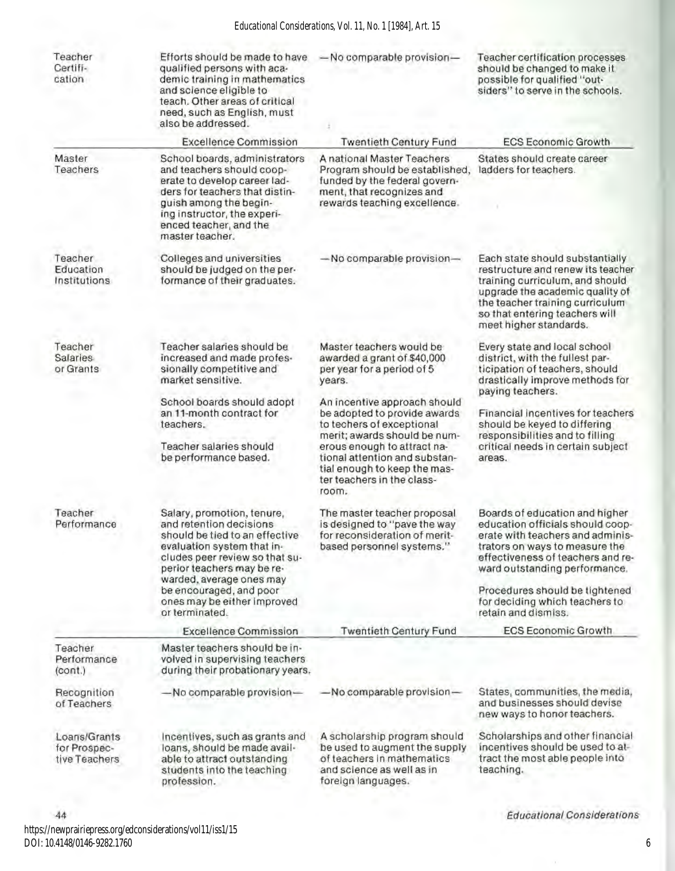#### *Educational Considerations, Vol. 11, No. 1 [1984], Art. 15*

| Teacher<br>Certifi-<br>cation                                   | Efforts should be made to have<br>qualified persons with aca-<br>demic training in mathematics<br>and science eligible to<br>teach. Other areas of critical<br>need, such as English, must<br>also be addressed.                                                                              | -No comparable provision-                                                                                                                                                                                                                                        | Teacher certification processes<br>should be changed to make it.<br>possible for qualified "out-<br>siders" to serve in the schools.                                                                                                                                                                      |
|-----------------------------------------------------------------|-----------------------------------------------------------------------------------------------------------------------------------------------------------------------------------------------------------------------------------------------------------------------------------------------|------------------------------------------------------------------------------------------------------------------------------------------------------------------------------------------------------------------------------------------------------------------|-----------------------------------------------------------------------------------------------------------------------------------------------------------------------------------------------------------------------------------------------------------------------------------------------------------|
|                                                                 | <b>Excellence Commission</b>                                                                                                                                                                                                                                                                  | <b>Twentieth Century Fund</b>                                                                                                                                                                                                                                    | <b>ECS Economic Growth</b>                                                                                                                                                                                                                                                                                |
| Master<br>Teachers                                              | School boards, administrators<br>and teachers should coop-<br>erate to develop career lad-<br>ders for teachers that distin-<br>guish among the begin-<br>ing instructor, the experi-<br>enced teacher, and the<br>master teacher.                                                            | A national Master Teachers<br>Program should be established,<br>funded by the federal govern-<br>ment, that recognizes and<br>rewards teaching excellence.                                                                                                       | States should create career<br>ladders for teachers.                                                                                                                                                                                                                                                      |
| Teacher<br>Education<br>Institutions                            | Colleges and universities<br>should be judged on the per-<br>formance of their graduates.                                                                                                                                                                                                     | -No comparable provision-                                                                                                                                                                                                                                        | Each state should substantially<br>restructure and renew its teacher<br>training curriculum, and should<br>upgrade the academic quality of<br>the teacher training curriculum<br>so that entering teachers will<br>meet higher standards.                                                                 |
| Teacher<br><b>Salaries</b><br>or Grants                         | Teacher salaries should be<br>increased and made profes-<br>sionally competitive and<br>market sensitive.                                                                                                                                                                                     | Master teachers would be<br>awarded a grant of \$40,000<br>per year for a period of 5<br>years.                                                                                                                                                                  | Every state and local school<br>district, with the fullest par-<br>ticipation of teachers, should<br>drastically improve methods for<br>paying teachers.                                                                                                                                                  |
|                                                                 | School boards should adopt<br>an 11-month contract for<br>teachers.<br>Teacher salaries should<br>be performance based.                                                                                                                                                                       | An incentive approach should<br>be adopted to provide awards<br>to techers of exceptional<br>merit; awards should be num-<br>erous enough to attract na-<br>tional attention and substan-<br>tial enough to keep the mas-<br>ter teachers in the class-<br>room. | Financial incentives for teachers<br>should be keyed to differing<br>responsibilities and to filling<br>critical needs in certain subject<br>areas.                                                                                                                                                       |
| Teacher<br>Performance                                          | Salary, promotion, tenure,<br>and retention decisions<br>should be tied to an effective<br>evaluation system that in-<br>cludes peer review so that su-<br>perior teachers may be re-<br>warded, average ones may<br>be encouraged, and poor<br>ones may be either improved<br>or terminated. | The master teacher proposal<br>is designed to "pave the way<br>for reconsideration of merit-<br>based personnel systems."                                                                                                                                        | Boards of education and higher<br>education officials should coop-<br>erate with teachers and adminis-<br>trators on ways to measure the<br>effectiveness of teachers and re-<br>ward outstanding performance.<br>Procedures should be tightened<br>for deciding which teachers to<br>retain and dismiss. |
|                                                                 | <b>Excellence Commission</b>                                                                                                                                                                                                                                                                  | <b>Twentieth Century Fund</b>                                                                                                                                                                                                                                    | <b>ECS Economic Growth</b>                                                                                                                                                                                                                                                                                |
| Teacher<br>Performance<br>(cont.)<br>Recognition<br>of Teachers | Master teachers should be in-<br>volved in supervising teachers<br>during their probationary years.<br>-No comparable provision-                                                                                                                                                              | -No comparable provision-                                                                                                                                                                                                                                        | States, communities, the media,<br>and businesses should devise                                                                                                                                                                                                                                           |
| Loans/Grants<br>for Prospec-<br>tive Teachers                   | Incentives, such as grants and<br>loans, should be made avail-<br>able to attract outstanding<br>students into the teaching<br>profession.                                                                                                                                                    | A scholarship program should<br>be used to augment the supply<br>of teachers in mathematics<br>and science as well as in<br>foreign languages.                                                                                                                   | new ways to honor teachers.<br>Scholarships and other financial<br>incentives should be used to at-<br>tract the most able people into<br>teaching.                                                                                                                                                       |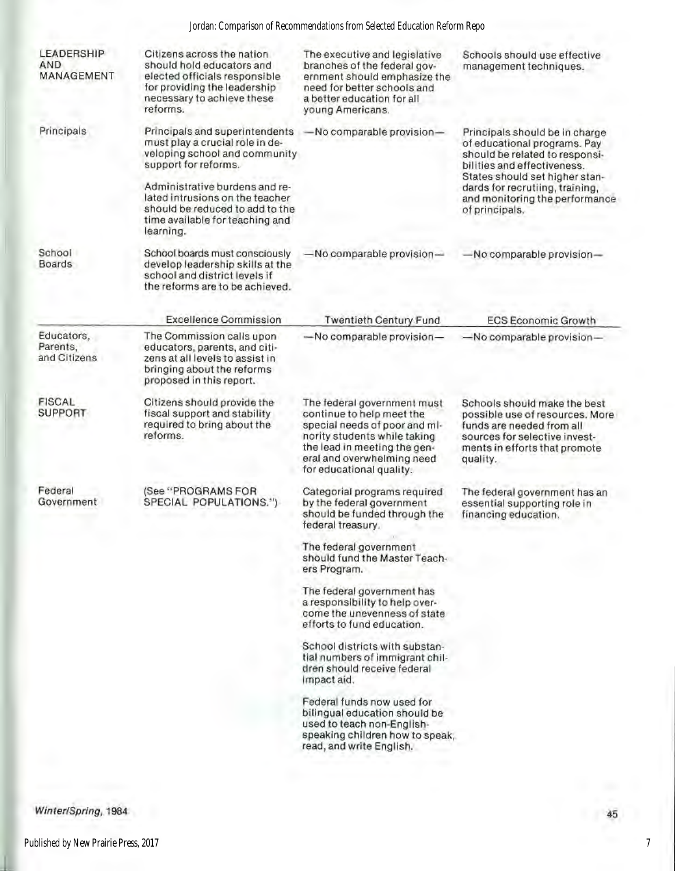## Jordan: Comparison of Recommendations from Selected Education Reform Repo

| LEADERSHIP<br>AND<br>MANAGEMENT        | Citizens across the nation<br>should hold educators and<br>elected officials responsible<br>for providing the leadership<br>necessary to achieve these<br>reforms. | The executive and legislative<br>branches of the federal gov-<br>ernment should emphasize the<br>need for better schools and<br>a better education for all<br>young Americans.                                      | Schools should use effective<br>management techniques.                                                                                                                                                                                                   |
|----------------------------------------|--------------------------------------------------------------------------------------------------------------------------------------------------------------------|---------------------------------------------------------------------------------------------------------------------------------------------------------------------------------------------------------------------|----------------------------------------------------------------------------------------------------------------------------------------------------------------------------------------------------------------------------------------------------------|
| Principals                             | Principals and superintendents<br>must play a crucial role in de-<br>veloping school and community<br>support for reforms.                                         | -No comparable provision-                                                                                                                                                                                           | Principals should be in charge<br>of educational programs. Pay<br>should be related to responsi-<br>bilities and effectiveness.<br>States should set higher stan-<br>dards for recrutiing, training,<br>and monitoring the performance<br>of principals. |
|                                        | Administrative burdens and re-<br>lated intrusions on the teacher<br>should be reduced to add to the<br>time available for teaching and<br>learning.               |                                                                                                                                                                                                                     |                                                                                                                                                                                                                                                          |
| School<br><b>Boards</b>                | School boards must consciously<br>develop leadership skills at the<br>school and district levels if<br>the reforms are to be achieved.                             | -No comparable provision-                                                                                                                                                                                           | $-$ No comparable provision $-$                                                                                                                                                                                                                          |
|                                        | <b>Excellence Commission</b>                                                                                                                                       | <b>Twentieth Century Fund</b>                                                                                                                                                                                       | <b>ECS Economic Growth</b>                                                                                                                                                                                                                               |
| Educators,<br>Parents,<br>and Citizens | The Commission calls upon<br>educators, parents, and citi-<br>zens at all levels to assist in<br>bringing about the reforms<br>proposed in this report.            | -No comparable provision-                                                                                                                                                                                           | -No comparable provision-                                                                                                                                                                                                                                |
| <b>FISCAL</b><br><b>SUPPORT</b>        | Citizens should provide the<br>fiscal support and stability<br>required to bring about the<br>reforms.                                                             | The federal government must<br>continue to help meet the<br>special needs of poor and ml-<br>nority students while taking<br>the lead in meeting the gen-<br>eral and overwhelming need<br>for educational quality. | Schools should make the best<br>possible use of resources. More<br>funds are needed from all<br>sources for selective invest-<br>ments in efforts that promote<br>quality.                                                                               |
| Federal<br>Government                  | (See "PROGRAMS FOR<br>SPECIAL POPULATIONS.")                                                                                                                       | Categorial programs required<br>by the federal government<br>should be funded through the<br>federal treasury.                                                                                                      | The federal government has an<br>essential supporting role in<br>financing education.                                                                                                                                                                    |
|                                        |                                                                                                                                                                    | The federal government<br>should fund the Master Teach-<br>ers Program.                                                                                                                                             |                                                                                                                                                                                                                                                          |
|                                        |                                                                                                                                                                    | The federal government has<br>a responsibility to help over-<br>come the unevenness of state<br>efforts to fund education.                                                                                          |                                                                                                                                                                                                                                                          |
|                                        |                                                                                                                                                                    | School districts with substan-<br>tial numbers of immigrant chil-<br>dren should receive federal<br>Impact aid.                                                                                                     |                                                                                                                                                                                                                                                          |
|                                        |                                                                                                                                                                    | Federal funds now used for<br>bilingual education should be<br>used to teach non-English-<br>speaking children how to speak,<br>read, and write English.                                                            |                                                                                                                                                                                                                                                          |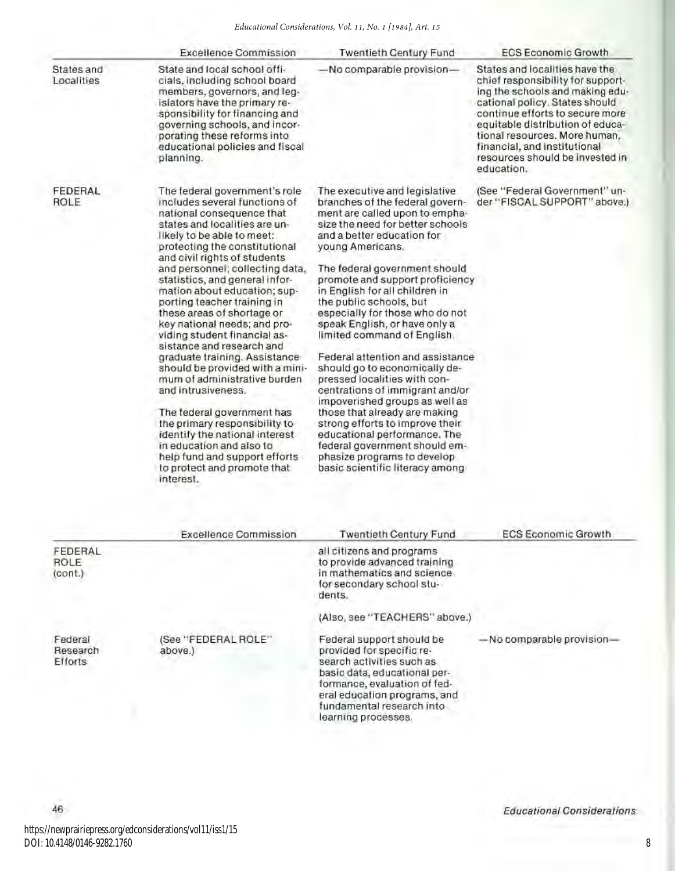|                                                   | <b>Excellence Commission</b>                                                                                                                                                                                                                                                                                                                                                                                                                                                                                                                                                                                                                                                                                                                                                                                                   | <b>Twentieth Century Fund</b>                                                                                                                                                                                                                                                                                                                                                                                                                                                                                                                                                                                                                                                                                                                                                                                  | <b>ECS Economic Growth</b>                                                                                                                                                                                                                                                                                                        |
|---------------------------------------------------|--------------------------------------------------------------------------------------------------------------------------------------------------------------------------------------------------------------------------------------------------------------------------------------------------------------------------------------------------------------------------------------------------------------------------------------------------------------------------------------------------------------------------------------------------------------------------------------------------------------------------------------------------------------------------------------------------------------------------------------------------------------------------------------------------------------------------------|----------------------------------------------------------------------------------------------------------------------------------------------------------------------------------------------------------------------------------------------------------------------------------------------------------------------------------------------------------------------------------------------------------------------------------------------------------------------------------------------------------------------------------------------------------------------------------------------------------------------------------------------------------------------------------------------------------------------------------------------------------------------------------------------------------------|-----------------------------------------------------------------------------------------------------------------------------------------------------------------------------------------------------------------------------------------------------------------------------------------------------------------------------------|
| States and<br>Localities                          | State and local school offi-<br>cials, including school board<br>members, governors, and leg-<br>islators have the primary re-<br>sponsibility for financing and<br>governing schools, and incor-<br>porating these reforms into<br>educational policies and fiscal<br>planning.                                                                                                                                                                                                                                                                                                                                                                                                                                                                                                                                               | -No comparable provision-                                                                                                                                                                                                                                                                                                                                                                                                                                                                                                                                                                                                                                                                                                                                                                                      | States and localities have the<br>chief responsibility for support-<br>ing the schools and making edu-<br>cational policy. States should<br>continue efforts to secure more<br>equitable distribution of educa-<br>tional resources. More human,<br>financial, and institutional<br>resources should be invested in<br>education. |
| FEDERAL<br>ROLE                                   | The federal government's role<br>includes several functions of<br>national consequence that<br>states and localities are un-<br>likely to be able to meet:<br>protecting the constitutional<br>and civil rights of students<br>and personnel; collecting data,<br>statistics, and general infor-<br>mation about education; sup-<br>porting teacher training in<br>these areas of shortage or<br>key national needs; and pro-<br>viding student financial as-<br>sistance and research and<br>graduate training. Assistance<br>should be provided with a mini-<br>mum of administrative burden<br>and intrusiveness.<br>The federal government has<br>the primary responsibility to<br>identify the national interest<br>in education and also to<br>help fund and support efforts<br>to protect and promote that<br>interest. | The executive and legislative<br>branches of the federal govern-<br>ment are called upon to empha-<br>size the need for better schools.<br>and a better education for<br>young Americans.<br>The federal government should<br>promote and support proficiency<br>in English for all children in<br>the public schools, but<br>especially for those who do not<br>speak English, or have only a<br>limited command of English.<br>Federal attention and assistance<br>should go to economically de-<br>pressed localities with con-<br>centrations of immigrant and/or<br>impoverished groups as well as<br>those that already are making<br>strong efforts to improve their<br>educational performance. The<br>federal government should em-<br>phasize programs to develop<br>basic scientific literacy among | (See "Federal Government" un-<br>der "FISCAL SUPPORT" above.)                                                                                                                                                                                                                                                                     |
|                                                   | <b>Excellence Commission</b>                                                                                                                                                                                                                                                                                                                                                                                                                                                                                                                                                                                                                                                                                                                                                                                                   | <b>Twentieth Century Fund</b>                                                                                                                                                                                                                                                                                                                                                                                                                                                                                                                                                                                                                                                                                                                                                                                  | <b>ECS Economic Growth</b>                                                                                                                                                                                                                                                                                                        |
| FEDERAL<br>ROLE<br>$\langle \text{cont.} \rangle$ |                                                                                                                                                                                                                                                                                                                                                                                                                                                                                                                                                                                                                                                                                                                                                                                                                                | all citizens and programs<br>to provide advanced training<br>in mathematics and science<br>for secondary school stu-<br>dents.                                                                                                                                                                                                                                                                                                                                                                                                                                                                                                                                                                                                                                                                                 |                                                                                                                                                                                                                                                                                                                                   |
|                                                   |                                                                                                                                                                                                                                                                                                                                                                                                                                                                                                                                                                                                                                                                                                                                                                                                                                |                                                                                                                                                                                                                                                                                                                                                                                                                                                                                                                                                                                                                                                                                                                                                                                                                |                                                                                                                                                                                                                                                                                                                                   |

Federal Research Efforts

46

(See "FEDERAL ROLE" above.)

(Also, see "TEACHERS" above.)

Federal support should be provided for specific re· search activities such as basic data, educational performance, evaluation of federal education programs, and fundamental research into learning processes.

-No comparable provision-

https://newprairiepress.org/edconsiderations/vol11/iss1/15 DOI: 10.4148/0146-9282.1760

Educational Considerations